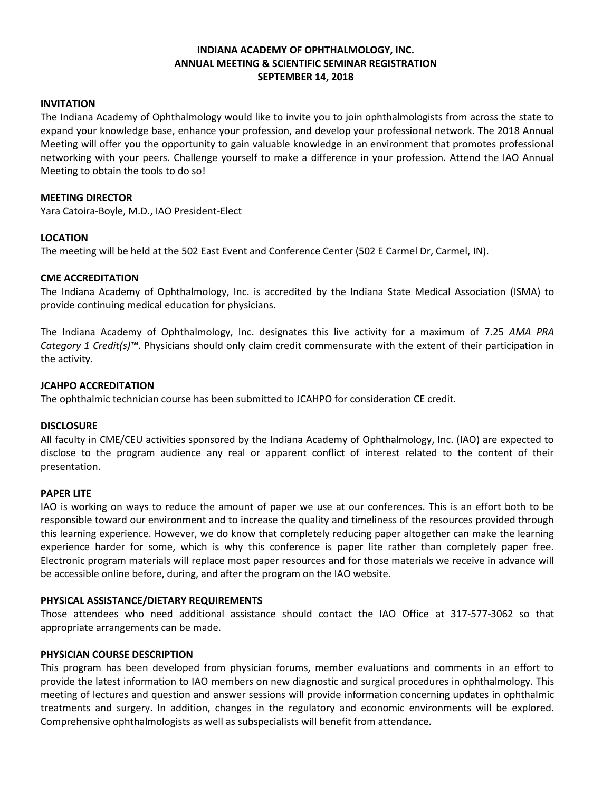## **INDIANA ACADEMY OF OPHTHALMOLOGY, INC. ANNUAL MEETING & SCIENTIFIC SEMINAR REGISTRATION SEPTEMBER 14, 2018**

### **INVITATION**

The Indiana Academy of Ophthalmology would like to invite you to join ophthalmologists from across the state to expand your knowledge base, enhance your profession, and develop your professional network. The 2018 Annual Meeting will offer you the opportunity to gain valuable knowledge in an environment that promotes professional networking with your peers. Challenge yourself to make a difference in your profession. Attend the IAO Annual Meeting to obtain the tools to do so!

### **MEETING DIRECTOR**

Yara Catoira-Boyle, M.D., IAO President-Elect

### **LOCATION**

The meeting will be held at the 502 East Event and Conference Center (502 E Carmel Dr, Carmel, IN).

### **CME ACCREDITATION**

The Indiana Academy of Ophthalmology, Inc. is accredited by the Indiana State Medical Association (ISMA) to provide continuing medical education for physicians.

The Indiana Academy of Ophthalmology, Inc. designates this live activity for a maximum of 7.25 *AMA PRA Category 1 Credit(s)™*. Physicians should only claim credit commensurate with the extent of their participation in the activity.

### **JCAHPO ACCREDITATION**

The ophthalmic technician course has been submitted to JCAHPO for consideration CE credit.

### **DISCLOSURE**

All faculty in CME/CEU activities sponsored by the Indiana Academy of Ophthalmology, Inc. (IAO) are expected to disclose to the program audience any real or apparent conflict of interest related to the content of their presentation.

### **PAPER LITE**

IAO is working on ways to reduce the amount of paper we use at our conferences. This is an effort both to be responsible toward our environment and to increase the quality and timeliness of the resources provided through this learning experience. However, we do know that completely reducing paper altogether can make the learning experience harder for some, which is why this conference is paper lite rather than completely paper free. Electronic program materials will replace most paper resources and for those materials we receive in advance will be accessible online before, during, and after the program on the IAO website.

## **PHYSICAL ASSISTANCE/DIETARY REQUIREMENTS**

Those attendees who need additional assistance should contact the IAO Office at 317-577-3062 so that appropriate arrangements can be made.

### **PHYSICIAN COURSE DESCRIPTION**

This program has been developed from physician forums, member evaluations and comments in an effort to provide the latest information to IAO members on new diagnostic and surgical procedures in ophthalmology. This meeting of lectures and question and answer sessions will provide information concerning updates in ophthalmic treatments and surgery. In addition, changes in the regulatory and economic environments will be explored. Comprehensive ophthalmologists as well as subspecialists will benefit from attendance.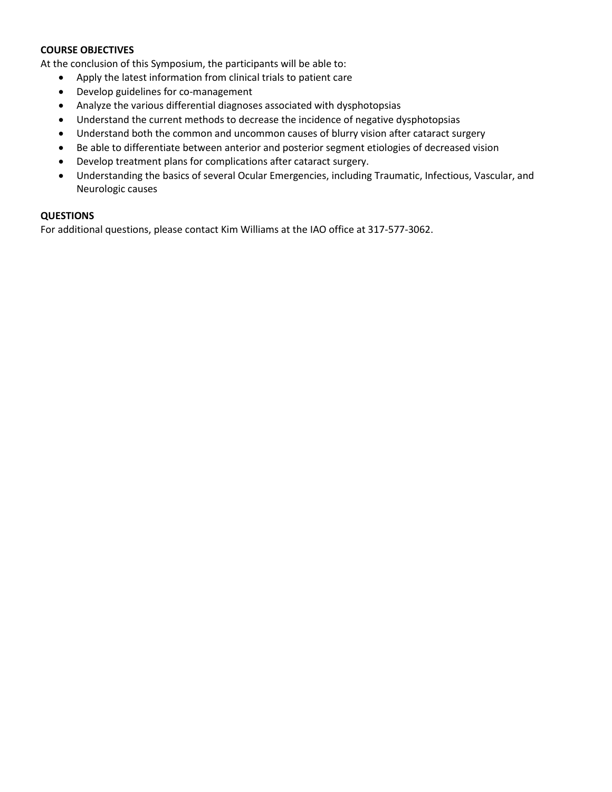## **COURSE OBJECTIVES**

At the conclusion of this Symposium, the participants will be able to:

- Apply the latest information from clinical trials to patient care
- Develop guidelines for co-management
- Analyze the various differential diagnoses associated with dysphotopsias
- Understand the current methods to decrease the incidence of negative dysphotopsias
- Understand both the common and uncommon causes of blurry vision after cataract surgery
- Be able to differentiate between anterior and posterior segment etiologies of decreased vision
- Develop treatment plans for complications after cataract surgery.
- Understanding the basics of several Ocular Emergencies, including Traumatic, Infectious, Vascular, and Neurologic causes

## **QUESTIONS**

For additional questions, please contact Kim Williams at the IAO office at 317-577-3062.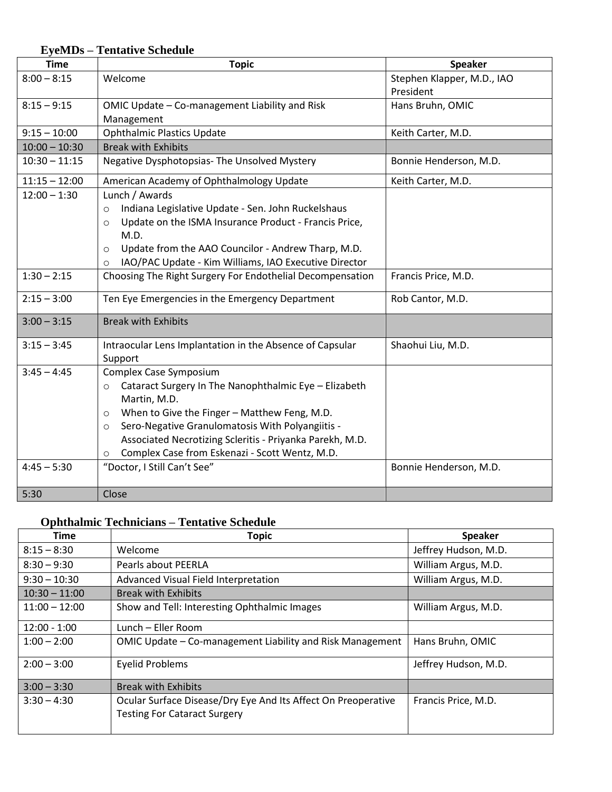| LYCIVILUS       | I chiau ve delleutre                                                                                                                                                                                                                                                                                                                                    |                                         |
|-----------------|---------------------------------------------------------------------------------------------------------------------------------------------------------------------------------------------------------------------------------------------------------------------------------------------------------------------------------------------------------|-----------------------------------------|
| <b>Time</b>     | <b>Topic</b>                                                                                                                                                                                                                                                                                                                                            | <b>Speaker</b>                          |
| $8:00 - 8:15$   | Welcome                                                                                                                                                                                                                                                                                                                                                 | Stephen Klapper, M.D., IAO<br>President |
| $8:15 - 9:15$   | OMIC Update - Co-management Liability and Risk<br>Management                                                                                                                                                                                                                                                                                            | Hans Bruhn, OMIC                        |
| $9:15 - 10:00$  | <b>Ophthalmic Plastics Update</b>                                                                                                                                                                                                                                                                                                                       | Keith Carter, M.D.                      |
| $10:00 - 10:30$ | <b>Break with Exhibits</b>                                                                                                                                                                                                                                                                                                                              |                                         |
| $10:30 - 11:15$ | Negative Dysphotopsias-The Unsolved Mystery                                                                                                                                                                                                                                                                                                             | Bonnie Henderson, M.D.                  |
| $11:15 - 12:00$ | American Academy of Ophthalmology Update                                                                                                                                                                                                                                                                                                                | Keith Carter, M.D.                      |
| $12:00 - 1:30$  | Lunch / Awards<br>Indiana Legislative Update - Sen. John Ruckelshaus<br>$\circ$<br>Update on the ISMA Insurance Product - Francis Price,<br>$\circ$<br>M.D.<br>Update from the AAO Councilor - Andrew Tharp, M.D.<br>$\circ$<br>IAO/PAC Update - Kim Williams, IAO Executive Director<br>$\circ$                                                        |                                         |
| $1:30 - 2:15$   | Choosing The Right Surgery For Endothelial Decompensation                                                                                                                                                                                                                                                                                               | Francis Price, M.D.                     |
| $2:15 - 3:00$   | Ten Eye Emergencies in the Emergency Department                                                                                                                                                                                                                                                                                                         | Rob Cantor, M.D.                        |
| $3:00 - 3:15$   | <b>Break with Exhibits</b>                                                                                                                                                                                                                                                                                                                              |                                         |
| $3:15 - 3:45$   | Intraocular Lens Implantation in the Absence of Capsular<br>Support                                                                                                                                                                                                                                                                                     | Shaohui Liu, M.D.                       |
| $3:45 - 4:45$   | Complex Case Symposium<br>Cataract Surgery In The Nanophthalmic Eye - Elizabeth<br>$\circ$<br>Martin, M.D.<br>When to Give the Finger - Matthew Feng, M.D.<br>$\circ$<br>Sero-Negative Granulomatosis With Polyangiitis -<br>$\circ$<br>Associated Necrotizing Scleritis - Priyanka Parekh, M.D.<br>Complex Case from Eskenazi - Scott Wentz, M.D.<br>O |                                         |
| $4:45 - 5:30$   | "Doctor, I Still Can't See"                                                                                                                                                                                                                                                                                                                             | Bonnie Henderson, M.D.                  |
| 5:30            | Close                                                                                                                                                                                                                                                                                                                                                   |                                         |

# **EyeMDs – Tentative Schedule**

# **Ophthalmic Technicians – Tentative Schedule**

| <b>Time</b>     | <b>Topic</b>                                                                                         | <b>Speaker</b>       |
|-----------------|------------------------------------------------------------------------------------------------------|----------------------|
| $8:15 - 8:30$   | Welcome                                                                                              | Jeffrey Hudson, M.D. |
| $8:30 - 9:30$   | Pearls about PEERLA                                                                                  | William Argus, M.D.  |
| $9:30 - 10:30$  | Advanced Visual Field Interpretation                                                                 | William Argus, M.D.  |
| $10:30 - 11:00$ | <b>Break with Exhibits</b>                                                                           |                      |
| $11:00 - 12:00$ | Show and Tell: Interesting Ophthalmic Images                                                         | William Argus, M.D.  |
| $12:00 - 1:00$  | Lunch - Eller Room                                                                                   |                      |
| $1:00 - 2:00$   | OMIC Update - Co-management Liability and Risk Management                                            | Hans Bruhn, OMIC     |
| $2:00 - 3:00$   | <b>Eyelid Problems</b>                                                                               | Jeffrey Hudson, M.D. |
| $3:00 - 3:30$   | <b>Break with Exhibits</b>                                                                           |                      |
| $3:30 - 4:30$   | Ocular Surface Disease/Dry Eye And Its Affect On Preoperative<br><b>Testing For Cataract Surgery</b> | Francis Price, M.D.  |
|                 |                                                                                                      |                      |